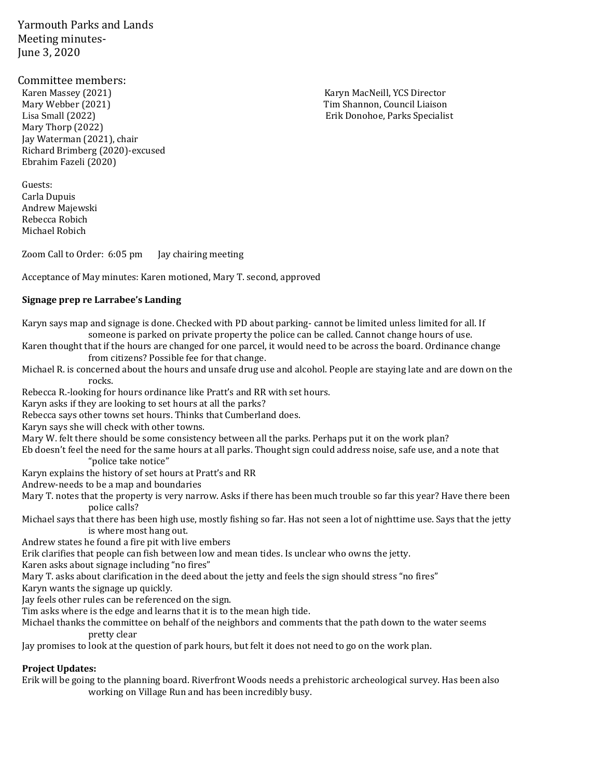Yarmouth Parks and Lands Meeting minutes-June 3, 2020

# Committee members:<br>Karen Massey (2021)

Mary Webber (2021) Tim Shannon, Council Liaison Lisa Small (2022) Erik Donohoe, Parks Specialist Mary Thorp (2022) Jay Waterman (2021), chair Richard Brimberg (2020)-excused Ebrahim Fazeli (2020)

Guests: Carla Dupuis Andrew Majewski Rebecca Robich Michael Robich

Zoom Call to Order: 6:05 pm Jay chairing meeting

Acceptance of May minutes: Karen motioned, Mary T. second, approved

# **Signage prep re Larrabee's Landing**

Karyn says map and signage is done. Checked with PD about parking- cannot be limited unless limited for all. If someone is parked on private property the police can be called. Cannot change hours of use. Karen thought that if the hours are changed for one parcel, it would need to be across the board. Ordinance change from citizens? Possible fee for that change. Michael R. is concerned about the hours and unsafe drug use and alcohol. People are staying late and are down on the rocks. Rebecca R.-looking for hours ordinance like Pratt's and RR with set hours. Karyn asks if they are looking to set hours at all the parks? Rebecca says other towns set hours. Thinks that Cumberland does. Karyn says she will check with other towns. Mary W. felt there should be some consistency between all the parks. Perhaps put it on the work plan? Eb doesn't feel the need for the same hours at all parks. Thought sign could address noise, safe use, and a note that "police take notice" Karyn explains the history of set hours at Pratt's and RR Andrew-needs to be a map and boundaries Mary T. notes that the property is very narrow. Asks if there has been much trouble so far this year? Have there been police calls? Michael says that there has been high use, mostly fishing so far. Has not seen a lot of nighttime use. Says that the jetty is where most hang out. Andrew states he found a fire pit with live embers Erik clarifies that people can fish between low and mean tides. Is unclear who owns the jetty. Karen asks about signage including "no fires" Mary T. asks about clarification in the deed about the jetty and feels the sign should stress "no fires" Karyn wants the signage up quickly. Jay feels other rules can be referenced on the sign. Tim asks where is the edge and learns that it is to the mean high tide. Michael thanks the committee on behalf of the neighbors and comments that the path down to the water seems pretty clear Jay promises to look at the question of park hours, but felt it does not need to go on the work plan.

### **Project Updates:**

Erik will be going to the planning board. Riverfront Woods needs a prehistoric archeological survey. Has been also working on Village Run and has been incredibly busy.

Karyn MacNeill, YCS Director